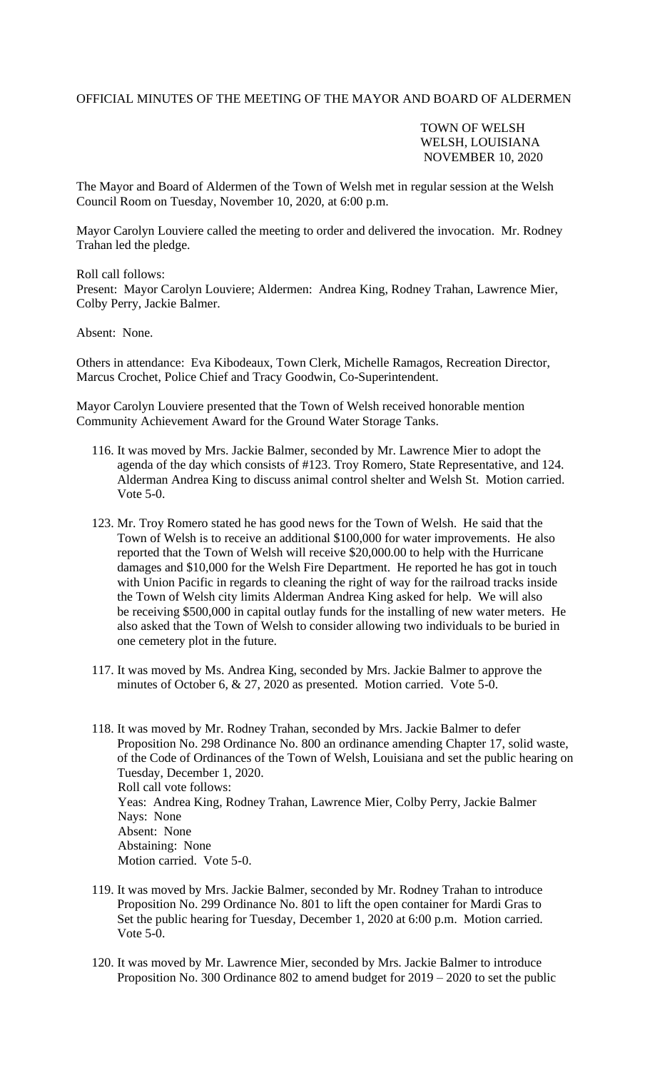## OFFICIAL MINUTES OF THE MEETING OF THE MAYOR AND BOARD OF ALDERMEN

TOWN OF WELSH WELSH, LOUISIANA NOVEMBER 10, 2020

The Mayor and Board of Aldermen of the Town of Welsh met in regular session at the Welsh Council Room on Tuesday, November 10, 2020, at 6:00 p.m.

Mayor Carolyn Louviere called the meeting to order and delivered the invocation. Mr. Rodney Trahan led the pledge.

Roll call follows:

Present: Mayor Carolyn Louviere; Aldermen: Andrea King, Rodney Trahan, Lawrence Mier, Colby Perry, Jackie Balmer.

## Absent: None.

Others in attendance: Eva Kibodeaux, Town Clerk, Michelle Ramagos, Recreation Director, Marcus Crochet, Police Chief and Tracy Goodwin, Co-Superintendent.

Mayor Carolyn Louviere presented that the Town of Welsh received honorable mention Community Achievement Award for the Ground Water Storage Tanks.

- 116. It was moved by Mrs. Jackie Balmer, seconded by Mr. Lawrence Mier to adopt the agenda of the day which consists of #123. Troy Romero, State Representative, and 124. Alderman Andrea King to discuss animal control shelter and Welsh St. Motion carried. Vote 5-0.
- 123. Mr. Troy Romero stated he has good news for the Town of Welsh. He said that the Town of Welsh is to receive an additional \$100,000 for water improvements. He also reported that the Town of Welsh will receive \$20,000.00 to help with the Hurricane damages and \$10,000 for the Welsh Fire Department. He reported he has got in touch with Union Pacific in regards to cleaning the right of way for the railroad tracks inside the Town of Welsh city limits Alderman Andrea King asked for help. We will also be receiving \$500,000 in capital outlay funds for the installing of new water meters. He also asked that the Town of Welsh to consider allowing two individuals to be buried in one cemetery plot in the future.
- 117. It was moved by Ms. Andrea King, seconded by Mrs. Jackie Balmer to approve the minutes of October 6, & 27, 2020 as presented. Motion carried. Vote 5-0.
- 118. It was moved by Mr. Rodney Trahan, seconded by Mrs. Jackie Balmer to defer Proposition No. 298 Ordinance No. 800 an ordinance amending Chapter 17, solid waste, of the Code of Ordinances of the Town of Welsh, Louisiana and set the public hearing on Tuesday, December 1, 2020. Roll call vote follows: Yeas: Andrea King, Rodney Trahan, Lawrence Mier, Colby Perry, Jackie Balmer Nays: None Absent: None Abstaining: None Motion carried. Vote 5-0.
- 119. It was moved by Mrs. Jackie Balmer, seconded by Mr. Rodney Trahan to introduce Proposition No. 299 Ordinance No. 801 to lift the open container for Mardi Gras to Set the public hearing for Tuesday, December 1, 2020 at 6:00 p.m. Motion carried. Vote 5-0.
- 120. It was moved by Mr. Lawrence Mier, seconded by Mrs. Jackie Balmer to introduce Proposition No. 300 Ordinance 802 to amend budget for 2019 – 2020 to set the public